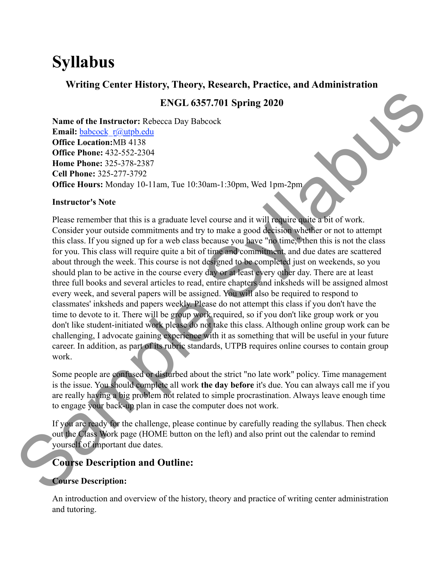# **Syllabus**

## **Writing Center History, Theory, Research, Practice, and Administration**

# **ENGL 6357.701 Spring 2020**

**Name of the Instructor:** Rebecca Day Babcock **Email:** [babcock\\_r@utpb.edu](mailto:babcock_r@utpb.edu) **Office Location:**MB 4138 **Office Phone:** 432-552-2304 **Home Phone:** 325-378-2387 **Cell Phone:** 325-277-3792 **Office Hours:** Monday 10-11am, Tue 10:30am-1:30pm, Wed 1pm-2pm

#### **Instructor's Note**

Please remember that this is a graduate level course and it will require quite a bit of work. Consider your outside commitments and try to make a good decision whether or not to attempt this class. If you signed up for a web class because you have "no time," then this is not the class for you. This class will require quite a bit of time and commitment, and due dates are scattered about through the week. This course is not designed to be completed just on weekends, so you should plan to be active in the course every day or at least every other day. There are at least three full books and several articles to read, entire chapters and inksheds will be assigned almost every week, and several papers will be assigned. You will also be required to respond to classmates' inksheds and papers weekly. Please do not attempt this class if you don't have the time to devote to it. There will be group work required, so if you don't like group work or you don't like student-initiated work please do not take this class. Although online group work can be challenging, I advocate gaining experience with it as something that will be useful in your future career. In addition, as part of its rubric standards, UTPB requires online courses to contain group work. classmates' inksheds and papers weekly. Please do not<br>time to devote to it. There will be group work required<br>don't like student-initiated work please do not take this<br>challenging, I advocate gaining experience with it as 57.701 Spring 2020<br>
beock<br>
beock<br>
beock<br>
el course and it will require quite a bit of work.<br>
y to make a good decision whether or not to attempt<br>
because you have "no time," then this is not the class<br>
of time and commitm

Some people are confused or disturbed about the strict "no late work" policy. Time management is the issue. You should complete all work **the day before** it's due. You can always call me if you are really having a big problem not related to simple procrastination. Always leave enough time to engage your back-up plan in case the computer does not work.

If you are ready for the challenge, please continue by carefully reading the syllabus. Then check out the Class Work page (HOME button on the left) and also print out the calendar to remind yourself of important due dates.

# **Course Description and Outline:**

## **Course Description:**

An introduction and overview of the history, theory and practice of writing center administration and tutoring.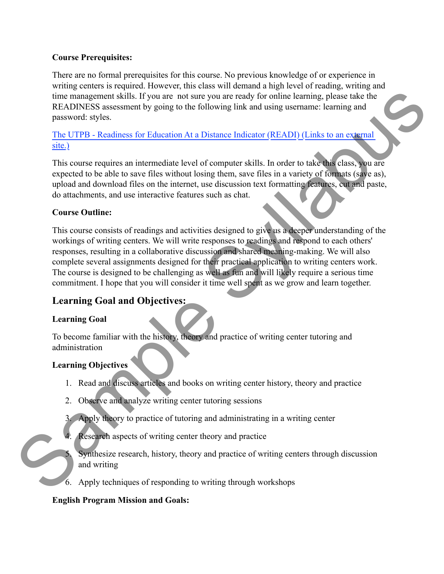#### **Course Prerequisites:**

There are no formal prerequisites for this course. No previous knowledge of or experience in writing centers is required. However, this class will demand a high level of reading, writing and time management skills. If you are not sure you are ready for online learning, please take the READINESS assessment by going to the following link and using username: learning and password: styles.

[The UTPB - Readiness for Education At a Distance Indicator \(READI\) \(Links to an external](http://utpb.readi.info/%22%20%5Ct%20%22_blank)  [site.\)](http://utpb.readi.info/%22%20%5Ct%20%22_blank)

This course requires an intermediate level of computer skills. In order to take this class, you are expected to be able to save files without losing them, save files in a variety of formats (save as), upload and download files on the internet, use discussion text formatting features, cut and paste, do attachments, and use interactive features such as chat.

#### **Course Outline:**

This course consists of readings and activities designed to give us a deeper understanding of the workings of writing centers. We will write responses to readings and respond to each others' responses, resulting in a collaborative discussion and shared meaning-making. We will also complete several assignments designed for their practical application to writing centers work. The course is designed to be challenging as well as fun and will likely require a serious time commitment. I hope that you will consider it time well spent as we grow and learn together. e you are ready for online learning, please take the<br>ollowing link and using username: learning and<br>Distance Indicator (READI) (Links to an external<br>of computer skills. In order to take this class, you are<br>sing them, save

# **Learning Goal and Objectives:**

## **Learning Goal**

To become familiar with the history, theory and practice of writing center tutoring and administration Learning Goal and Objectives:<br>
Learning Goal<br>
To become familiar with the history, theory and practic<br>
administration<br>
Learning Objectives<br>
1. Read and discuss articles and books on writing<br>
2. Observe and analyze writing

## **Learning Objectives**

- 1. Read and discuss articles and books on writing center history, theory and practice
- 2. Observe and analyze writing center tutoring sessions
- 3. Apply theory to practice of tutoring and administrating in a writing center
- 4. Research aspects of writing center theory and practice
	- Synthesize research, history, theory and practice of writing centers through discussion and writing
- 6. Apply techniques of responding to writing through workshops

#### **English Program Mission and Goals:**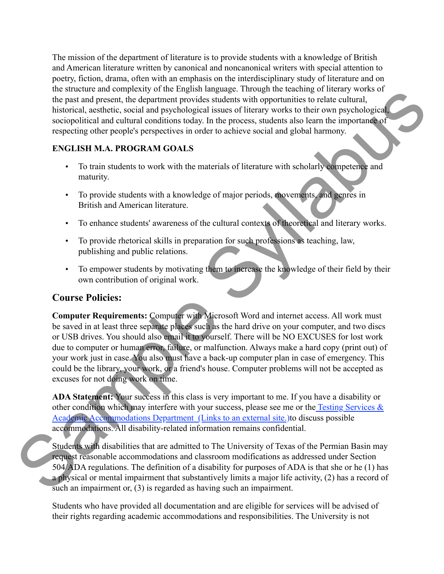The mission of the department of literature is to provide students with a knowledge of British and American literature written by canonical and noncanonical writers with special attention to poetry, fiction, drama, often with an emphasis on the interdisciplinary study of literature and on the structure and complexity of the English language. Through the teaching of literary works of the past and present, the department provides students with opportunities to relate cultural, historical, aesthetic, social and psychological issues of literary works to their own psychological, sociopolitical and cultural conditions today. In the process, students also learn the importance of respecting other people's perspectives in order to achieve social and global harmony. Translate and the beat through the teaching of interary works of<br>the students with opportunities to relate cultural,<br>cal issues of literary works to their own psychological,<br>c. In the process, students also learn the impor

## **ENGLISH M.A. PROGRAM GOALS**

- To train students to work with the materials of literature with scholarly competence and maturity.
- To provide students with a knowledge of major periods, movements, and genres in British and American literature.
- To enhance students' awareness of the cultural contexts of theoretical and literary works.
- To provide rhetorical skills in preparation for such professions as teaching, law, publishing and public relations.
- To empower students by motivating them to increase the knowledge of their field by their own contribution of original work.

# **Course Policies:**

**Computer Requirements:** Computer with Microsoft Word and internet access. All work must be saved in at least three separate places such as the hard drive on your computer, and two discs or USB drives. You should also email it to yourself. There will be NO EXCUSES for lost work due to computer or human error, failure, or malfunction. Always make a hard copy (print out) of your work just in case. You also must have a back-up computer plan in case of emergency. This could be the library, your work, or a friend's house. Computer problems will not be accepted as excuses for not doing work on time. **Course Policies:**<br>Computer Requirements: Computer with Microsoft<br>be saved in at least three separate places such as the ha<br>or USB drives. You should also email it to yourself. The<br>due to computer or human error, failure,

**ADA Statement:** Your success in this class is very important to me. If you have a disability or other condition which may interfere with your success, please see me or the Testing Services  $\&$ [Academic Accommodations Department \(Links to an external site.\)t](http://www.utpb.edu/academics/undergraduate-success/TSAAD%22%20%5Ct%20%22_blank)o discuss possible accommodations. All disability-related information remains confidential.

Students with disabilities that are admitted to The University of Texas of the Permian Basin may request reasonable accommodations and classroom modifications as addressed under Section 504/ADA regulations. The definition of a disability for purposes of ADA is that she or he (1) has a physical or mental impairment that substantively limits a major life activity, (2) has a record of such an impairment or, (3) is regarded as having such an impairment.

Students who have provided all documentation and are eligible for services will be advised of their rights regarding academic accommodations and responsibilities. The University is not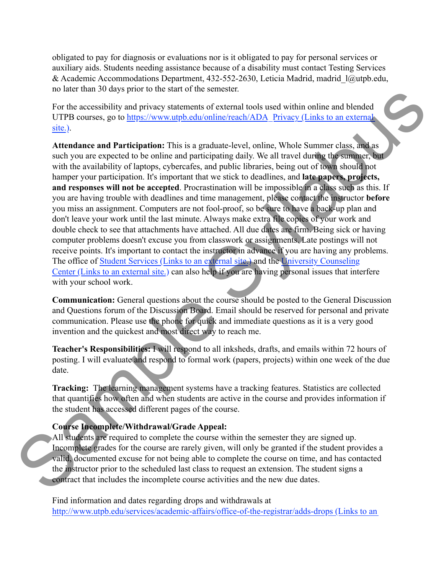obligated to pay for diagnosis or evaluations nor is it obligated to pay for personal services or auxiliary aids. Students needing assistance because of a disability must contact Testing Services & Academic Accommodations Department, 432-552-2630, Leticia Madrid, madrid\_l@utpb.edu, no later than 30 days prior to the start of the semester.

For the accessibility and privacy statements of external tools used within online and blended UTPB courses, go to https://www.utpb.edu/online/reach/ADA\_Privacy (Links to an external [site.\).](https://www.utpb.edu/online/reach/ADA_Privacy%22%20%5Ct%20%22_blank)

**Attendance and Participation:** This is a graduate-level, online, Whole Summer class, and as such you are expected to be online and participating daily. We all travel during the summer, but with the availability of laptops, cybercafes, and public libraries, being out of town should not hamper your participation. It's important that we stick to deadlines, and **late papers, projects, and responses will not be accepted**. Procrastination will be impossible in a class such as this. If you are having trouble with deadlines and time management, please contact the instructor **before** you miss an assignment. Computers are not fool-proof, so be sure to have a back-up plan and don't leave your work until the last minute. Always make extra file copies of your work and double check to see that attachments have attached. All due dates are firm. Being sick or having computer problems doesn't excuse you from classwork or assignments. Late postings will not receive points. It's important to contact the instructor in advance if you are having any problems. The office of [Student Services \(Links to an external site.\)](http://ss.utpb.edu/%22%20%5Ct%20%22_blank) and the University Counseling [Center \(Links to an external site.\)](http://ss.utpb.edu/university-counseling-center/%22%20%5Ct%20%22_blank) can also help if you are having personal issues that interfere with your school work. is of external tools used within online and blended<br>
<u>(online/reach/ADA</u> Privac[y](http://ss.utpb.edu/university-counseling-center/%22%20%5Ct%20%22_blank) (Links to an external<br>
graduate-level, online, Whole Summer class, and as<br>
ticipating daily. We all travel during the summer, but<br>
and public

**Communication:** General questions about the course should be posted to the General Discussion and Questions forum of the Discussion Board. Email should be reserved for personal and private communication. Please use the phone for quick and immediate questions as it is a very good invention and the quickest and most direct way to reach me.

**Teacher's Responsibilities:** I will respond to all inksheds, drafts, and emails within 72 hours of posting. I will evaluate and respond to formal work (papers, projects) within one week of the due date.

**Tracking:** The learning management systems have a tracking features. Statistics are collected that quantifies how often and when students are active in the course and provides information if the student has accessed different pages of the course.

## **Course Incomplete/Withdrawal/Grade Appeal:**

All students are required to complete the course within the semester they are signed up. Incomplete grades for the course are rarely given, will only be granted if the student provides a valid, documented excuse for not being able to complete the course on time, and has contacted the instructor prior to the scheduled last class to request an extension. The student signs a contract that includes the incomplete course activities and the new due dates. **Communication:** General questions about the course is<br>and Questions forum of the Discussion Board. Email s<br>communication. Please use the phone for quick and im<br>invention and the quickest and most direct way to reac<br>**Teach** 

> Find information and dates regarding drops and withdrawals at [http://www.utpb.edu/services/academic-affairs/office-of-the-registrar/adds-drops \(Links to an](http://www.utpb.edu/services/academic-affairs/office-of-the-registrar/adds-drops%22%20%5Ct%20%22_blank)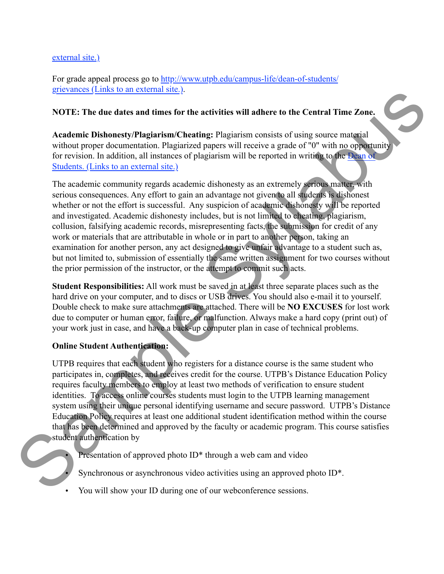#### [external site.\)](http://www.utpb.edu/services/academic-affairs/office-of-the-registrar/adds-drops%22%20%5Ct%20%22_blank)

For grade appeal process go to [http://www.utpb.edu/campus-life/dean-of-students/](http://www.utpb.edu/campus-life/dean-of-students/grievances%22%20%5Ct%20%22_blank) [grievances \(Links to an external site.\).](http://www.utpb.edu/campus-life/dean-of-students/grievances%22%20%5Ct%20%22_blank)

#### **NOTE: The due dates and times for the activities will adhere to the Central Time Zone.**

**Academic Dishonesty/Plagiarism/Cheating:** Plagiarism consists of using source material without proper documentation. Plagiarized papers will receive a grade of "0" with no opportunity for revision. In addition, all instances of plagiarism will be reported in writing to the Dean of [Students. \(Links to an external site.\)](http://www.utpb.edu/campus-life/dean-of-students%22%20%5Ct%20%22_blank)

The academic community regards academic dishonesty as an extremely serious matter, with serious consequences. Any effort to gain an advantage not given to all students is dishonest whether or not the effort is successful. Any suspicion of academic dishonesty will be reported and investigated. Academic dishonesty includes, but is not limited to cheating, plagiarism, collusion, falsifying academic records, misrepresenting facts, the submission for credit of any work or materials that are attributable in whole or in part to another person, taking an examination for another person, any act designed to give unfair advantage to a student such as, but not limited to, submission of essentially the same written assignment for two courses without the prior permission of the instructor, or the attempt to commit such acts. activities will adhere to the Central Time Zone.<br>
Ing: Plagiarism consists of using source material<br>
papers will receive a grade of "0" with no opportunity<br>
agiarism will be reported in writing to the Dean of<br>
c dishonesty

**Student Responsibilities:** All work must be saved in at least three separate places such as the hard drive on your computer, and to discs or USB drives. You should also e-mail it to yourself. Double check to make sure attachments are attached. There will be **NO EXCUSES** for lost work due to computer or human error, failure, or malfunction. Always make a hard copy (print out) of your work just in case, and have a back-up computer plan in case of technical problems.

#### **Online Student Authentication:**

UTPB requires that each student who registers for a distance course is the same student who participates in, completes, and receives credit for the course. UTPB's Distance Education Policy requires faculty members to employ at least two methods of verification to ensure student identities. To access online courses students must login to the UTPB learning management system using their unique personal identifying username and secure password. UTPB's Distance Education Policy requires at least one additional student identification method within the course that has been determined and approved by the faculty or academic program. This course satisfies student authentication by From your computer, and to duses of ourse. Four show the space of our work just in case, and have a back-up computer plan in case of techn due to computer or human error, failure, or malfunction. Always make a have a back-

Presentation of approved photo ID<sup>\*</sup> through a web cam and video

Synchronous or asynchronous video activities using an approved photo ID<sup>\*</sup>.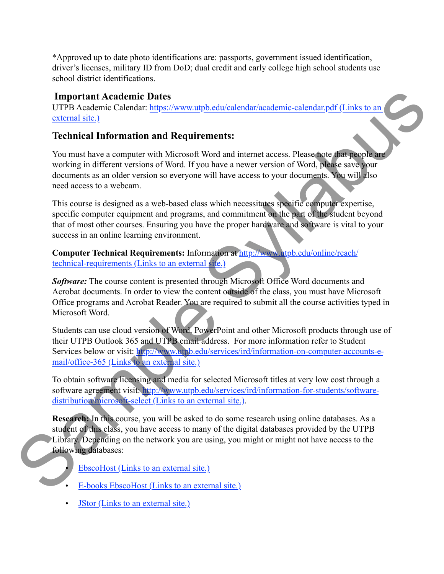\*Approved up to date photo identifications are: passports, government issued identification, driver's licenses, military ID from DoD; dual credit and early college high school students use school district identifications.

## **Important Academic Dates**

UTPB Academic Calendar: https://www.utpb.edu/calendar/academic-calendar.pdf (Links to an [external site.\)](https://www.utpb.edu/calendar/academic-calendar.pdf%22%20%5Ct%20%22_blank)

## **Technical Information and Requirements:**

You must have a computer with Microsoft Word and internet access. Please note that people are working in different versions of Word. If you have a newer version of Word, please save your documents as an older version so everyone will have access to your documents. You will also need access to a webcam. pb.edu/calendar/academic-calendar.pdf (Links to an<br>
ements:<br>
Word and internet access. Please note that people are<br>
ou have a newer version of Word, please save your<br>
will have access to your documents. You will also<br>
ss w

This course is designed as a web-based class which necessitates specific computer expertise, specific computer equipment and programs, and commitment on the part of the student beyond that of most other courses. Ensuring you have the proper hardware and software is vital to your success in an online learning environment.

**Computer Technical Requirements:** Information at http://www.utpb.edu/online/reach/ [technical-requirements \(Links to an external site.\)](http://www.utpb.edu/online/reach/technical-requirements%22%20%5Ct%20%22_blank)

**Software:** The course content is presented through Microsoft Office Word documents and Acrobat documents. In order to view the content outside of the class, you must have Microsoft Office programs and Acrobat Reader. You are required to submit all the course activities typed in Microsoft Word.

Students can use cloud version of Word, PowerPoint and other Microsoft products through use of their UTPB Outlook 365 and UTPB email address. For more information refer to Student Services below or visit: [http://www.utpb.edu/services/ird/information-on-computer-accounts-e](http://www.utpb.edu/services/ird/information-on-computer-accounts-e-mail/office-365%22%20%5Ct%20%22_blank)mail/office-365 (Links to an external site.) Office programs and Acrobat Reader. You are required<br>Microsoft Word.<br>[S](http://search.ebscohost.com.ezproxy.utpb.edu/login.aspx?authtype=ip,uid&profile=ehost&defaultdb=a9h%22%20%5Ct%20%22_blank)tudents can use cloud version of Word, PowerPoint at<br>their UTPB Outlook 365 and UTPB e[m](http://www.utpb.edu/services/ird/information-for-students/software-distribution/microsoft-select%22%20%5Ct%20%22_blank)ail address. For<br>Services below or visit: http://www.utpb.edu/ser

To obtain software licensing and media for selected Microsoft titles at very low cost through a software agreement visit: [http://www.utpb.edu/services/ird/information-for-students/software](http://www.utpb.edu/services/ird/information-for-students/software-distribution/microsoft-select%22%20%5Ct%20%22_blank)distribution/microsoft-select (Links to an external site.).

**Research:** In this course, you will be asked to do some research using online databases. As a student of this class, you have access to many of the digital databases provided by the UTPB Library. Depending on the network you are using, you might or might not have access to the following databases:

- EbscoHost (Links to an external site.)
- E-books EbscoHost (Links to an external site.)
- [JStor \(Links to an external site.\)](http://www.jstor.org.ezproxy.utpb.edu/%22%20%5Ct%20%22_blank)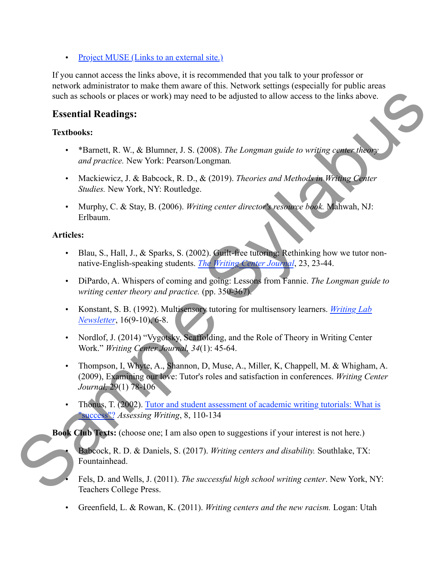• [Project MUSE \(Links to an external site.\)](http://muse.jhu.edu.ezproxy.utpb.edu/journals/%22%20%5Ct%20%22_blank)

If you cannot access the links above, it is recommended that you talk to your professor or network administrator to make them aware of this. Network settings (especially for public areas such as schools or places or work) may need to be adjusted to allow access to the links above.

## **Essential Readings:**

#### **Textbooks:**

- \*Barnett, R. W., & Blumner, J. S. (2008). *The Longman guide to writing center theory and practice.* New York: Pearson/Longman*.*
- Mackiewicz, J. & Babcock, R. D., & (2019). *Theories and Methods in Writing Center Studies.* New York, NY: Routledge.
- Murphy, C. & Stay, B. (2006). *Writing center director's resource book.* Mahwah, NJ: Erlbaum.

## **Articles:**

- Blau, S., Hall, J., & Sparks, S. (2002). Guilt-free tutoring: Rethinking how we tutor nonnative-English-speaking students. *The Writing Center Journal*, 23, 23-44.
- DiPardo, A. Whispers of coming and going: Lessons from Fannie. *The Longman guide to writing center theory and practice.* (pp. 350-367). Exercise to allow access to the links above.<br>
2008). *The Longman guide to writing center theory*<br>
ongman.<br>
Section 2. Theories and Methods in Writing Center<br>
ing center director's resource book. Mahwah, NJ:<br>
2). Guilt-fre
- Konstant, S. B. (1992). Multisensory tutoring for multisensory learners. *[Writing Lab](https://utpb.instructure.com/courses/454/files/51247/download?wrap=1%22%20%5Co%20%2216-9-10.pdf)  Newsletter*, 16(9-10), 6-8.
- Nordlof, J. (2014) "Vygotsky, Scaffolding, and the Role of Theory in Writing Center Work." *Writing Center Journal, 34*(1): 45-64.
- Thompson, I, Whyte, A., Shannon, D, Muse, A., Miller, K, Chappell, M. & Whigham, A. (2009), Examining our love: Tutor's roles and satisfaction in conferences. *Writing Center Journal,* 29(1) 78-106 S[am](https://utpb.instructure.com/courses/454/files/51251/download?wrap=1%22%20%5Co%20%22Thonus2002.pdf)ple Meridian S. B. (1992). Multisensory tutoring f<br>
Newsletter, 16(9-10), 6-8.<br>
Nordlof, J. (2014) "Vygotsky, Seaffolding, and<br>
Work." Writing Center Journal, 34(1): 45-64.<br>
Thompson, I, Whyte, A., Shannon, D, Muse, A<br>
	- Thonus, T. (2002). [Tutor and student assessment of academic writing tutorials: What is](https://utpb.instructure.com/courses/454/files/51251/download?wrap=1%22%20%5Co%20%22Thonus2002.pdf)  "success"? *Assessing Writing*, 8, 110-134

**Book Club Texts:** (choose one; I am also open to suggestions if your interest is not here.)

- Babcock, R. D. & Daniels, S. (2017). *Writing centers and disability.* Southlake, TX: Fountainhead.
- Fels, D. and Wells, J. (2011). *The successful high school writing center*. New York, NY: Teachers College Press.
- Greenfield, L. & Rowan, K. (2011). *Writing centers and the new racism.* Logan: Utah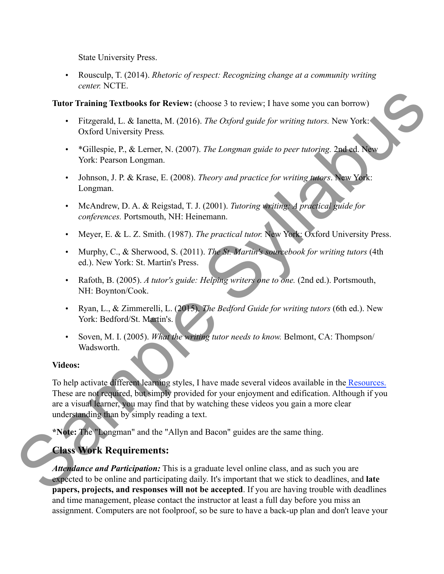State University Press.

• Rousculp, T. (2014). *Rhetoric of respect: Recognizing change at a community writing center.* NCTE.

**Tutor Training Textbooks for Review:** (choose 3 to review; I have some you can borrow)

- Fitzgerald, L. & Ianetta, M. (2016). *The Oxford guide for writing tutors.* New York: Oxford University Press*.*
- \*Gillespie, P., & Lerner, N. (2007). *The Longman guide to peer tutoring.* 2nd ed. New York: Pearson Longman.
- Johnson, J. P. & Krase, E. (2008). *Theory and practice for writing tutors*. New York: Longman.
- McAndrew, D. A. & Reigstad, T. J. (2001). *Tutoring writing: A practical guide for conferences.* Portsmouth, NH: Heinemann.
- Meyer, E. & L. Z. Smith. (1987). *The practical tutor.* New York: Oxford University Press.
- Murphy, C., & Sherwood, S. (2011). *The St. Martin's sourcebook for writing tutors* (4th ed.). New York: St. Martin's Press. The Oxford guide for writing tutors. New York:<br>
The Oxford guide for writing tutors. New York:<br>
The Longman guide to peer tutoring. 2nd ed. New<br>
Theory and practice for writing tutors. New York:<br>
(2001). Tutoring writing:
- Rafoth, B. (2005). *A tutor's guide: Helping writers one to one.* (2nd ed.). Portsmouth, NH: Boynton/Cook.
- Ryan, L., & Zimmerelli, L. (2015). *The Bedford Guide for writing tutors* (6th ed.). New York: Bedford/St. Martin's.
- Soven, M. I. (2005). *What the writing tutor needs to know.* Belmont, CA: Thompson/ Wadsworth.

#### **Videos:**

To help activate different learning styles, I have made several videos available in th[e Resources.](https://utpb.instructure.com/courses/454/pages/writing-center-theory-and-practice-resources%22%20%5Co%20%22Writing%20Center%20Theory%20and%20Practice%20-%20Resources) These are not required, but simply provided for your enjoyment and edification. Although if you are a visual learner, you may find that by watching these videos you gain a more clear understanding than by simply reading a text. Sample 19 March 20015). The Bedfore<br>
Soven, M. I. (2005). What the writing tutor neer Wadsworth.<br>
Videos:<br>
To help activate different learning styles, I have made These are not required, but simply provided for your era a

**\*Note:** The "Longman" and the "Allyn and Bacon" guides are the same thing.

# **Class Work Requirements:**

*Attendance and Participation:* This is a graduate level online class, and as such you are expected to be online and participating daily. It's important that we stick to deadlines, and **late papers, projects, and responses will not be accepted**. If you are having trouble with deadlines and time management, please contact the instructor at least a full day before you miss an assignment. Computers are not foolproof, so be sure to have a back-up plan and don't leave your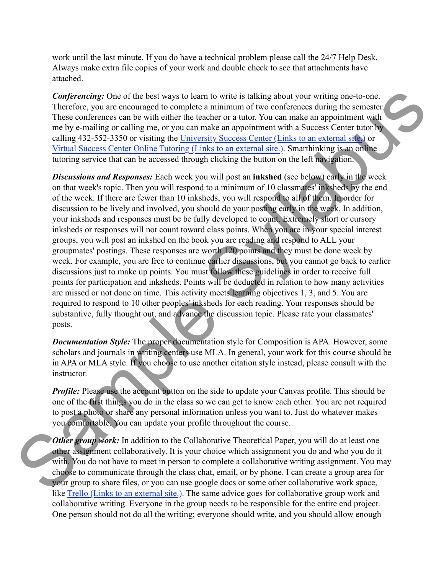work until the last minute. If you do have a technical problem please call the 24/7 Help Desk. Always make extra file copies of your work and double check to see that attachments have attached.

*Conferencing:* One of the best ways to learn to write is talking about your writing one-to-one. Therefore, you are encouraged to complete a minimum of two conferences during the semester. These conferences can be with either the teacher or a tutor. You can make an appointment with me by e-mailing or calling me, or you can make an appointment with a Success Center tutor by calling 432-552-3350 or visiting the University Success Center (Links to an external site.) or [Virtual Success Center Online Tutoring \(Links to an external site.\).](https://www.utpb.edu/academics/undergraduate-success/success-center/smarthinking-online-tutoring/%22%20%5Ct%20%22_blank) Smarthinking is an online tutoring service that can be accessed through clicking the button on the left navigation.

*Discussions and Responses:* Each week you will post an **inkshed** (see below) early in the week on that week's topic. Then you will respond to a minimum of 10 classmates' inksheds by the end of the week. If there are fewer than 10 inksheds, you will respond to all of them. In order for discussion to be lively and involved, you should do your posting early in the week. In addition, your inksheds and responses must be be fully developed to count. Extremely short or cursory inksheds or responses will not count toward class points. When you are in your special interest groups, you will post an inkshed on the book you are reading and respond to ALL your groupmates' postings. These responses are worth 120 points and they must be done week by week. For example, you are free to continue earlier discussions, but you cannot go back to earlier discussions just to make up points. You must follow these guidelines in order to receive full points for participation and inksheds. Points will be deducted in relation to how many activities are missed or not done on time. This activity meets learning objectives 1, 3, and 5. You are required to respond to 10 other peoples' inksheds for each reading. Your responses should be substantive, fully thought out, and advance the discussion topic. Please rate your classmates' posts. In to write is talking about your writing one-to-one.<br>
a minimum of two conferences during the semester.<br>
acher or a tutor. You can make an appointment with<br>
make an appointment with a Success Center tutor by<br>
<u>risty Succe</u>

*Documentation Style:* The proper documentation style for Composition is APA. However, some scholars and journals in writing centers use MLA. In general, your work for this course should be in APA or MLA style. If you choose to use another citation style instead, please consult with the instructor.

*Profile:* Please use the account button on the side to update your Canvas profile. This should be one of the first things you do in the class so we can get to know each other. You are not required to post a photo or share any personal information unless you want to. Just do whatever makes you comfortable. You can update your profile throughout the course.

**Other group work:** In addition to the Collaborative Theoretical Paper, you will do at least one other assignment collaboratively. It is your choice which assignment you do and who you do it with. You do not have to meet in person to complete a collaborative writing assignment. You may choose to communicate through the class chat, email, or by phone. I can create a group area for your group to share files, or you can use google docs or some other collaborative work space, like [Trello \(Links to an external site.\).](https://trello.com%22%20%5Ct%20%22_blank) The same advice goes for collaborative group work and collaborative writing. Everyone in the group needs to be responsible for the entire end project. required to respond to 10 other peoples' inksheds for ex<br>substantive, fully thought out, and advance the discuss<br>posts.<br>**Documentation Style:** The proper documentation style<br>scholars and journals in writing centers use MLA One person should not do all the writing; everyone should write, and you should allow enough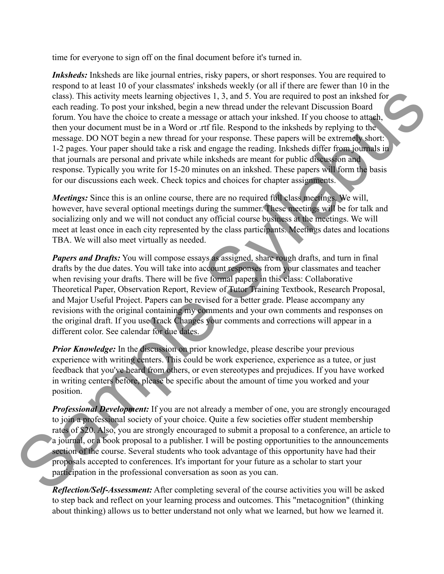time for everyone to sign off on the final document before it's turned in.

*Inksheds:* Inksheds are like journal entries, risky papers, or short responses. You are required to respond to at least 10 of your classmates' inksheds weekly (or all if there are fewer than 10 in the class). This activity meets learning objectives 1, 3, and 5. You are required to post an inkshed for each reading. To post your inkshed, begin a new thread under the relevant Discussion Board forum. You have the choice to create a message or attach your inkshed. If you choose to attach, then your document must be in a Word or .rtf file. Respond to the inksheds by replying to the message. DO NOT begin a new thread for your response. These papers will be extremely short: 1-2 pages. Your paper should take a risk and engage the reading. Inksheds differ from journals in that journals are personal and private while inksheds are meant for public discussion and response. Typically you write for 15-20 minutes on an inkshed. These papers will form the basis for our discussions each week. Check topics and choices for chapter assignments. ves 1, 3, and 5. You are required to post an inkshed for<br>a new thread under the relevant Discussion Board<br>sage or attach your inkshed. If you choose to attach,<br>trf file. Respond to the inksheds by replying to the<br>your resp

*Meetings:* Since this is an online course, there are no required full class meetings. We will, however, have several optional meetings during the summer. These meetings will be for talk and socializing only and we will not conduct any official course business at the meetings. We will meet at least once in each city represented by the class participants. Meetings dates and locations TBA. We will also meet virtually as needed.

*Papers and Drafts:* You will compose essays as assigned, share rough drafts, and turn in final drafts by the due dates. You will take into account responses from your classmates and teacher when revising your drafts. There will be five formal papers in this class: Collaborative Theoretical Paper, Observation Report, Review of Tutor Training Textbook, Research Proposal, and Major Useful Project. Papers can be revised for a better grade. Please accompany any revisions with the original containing my comments and your own comments and responses on the original draft. If you use Track Changes your comments and corrections will appear in a different color. See calendar for due dates.

*Prior Knowledge:* In the discussion on prior knowledge, please describe your previous experience with writing centers. This could be work experience, experience as a tutee, or just feedback that you've heard from others, or even stereotypes and prejudices. If you have worked in writing centers before, please be specific about the amount of time you worked and your position.

*Professional Development:* If you are not already a member of one, you are strongly encouraged to join a professional society of your choice. Quite a few societies offer student membership rates of \$20. Also, you are strongly encouraged to submit a proposal to a conference, an article to a journal, or a book proposal to a publisher. I will be posting opportunities to the announcements section of the course. Several students who took advantage of this opportunity have had their proposals accepted to conferences. It's important for your future as a scholar to start your participation in the professional conversation as soon as you can. and Major Useful Project. Papers can be revised for a l<br>revisions with the original containing my comments are<br>the original draft. If you use Track Changes your comm<br>different color. See calendar for due dates.<br>**Prior Know** 

*Reflection/Self-Assessment:* After completing several of the course activities you will be asked to step back and reflect on your learning process and outcomes. This "metacognition" (thinking about thinking) allows us to better understand not only what we learned, but how we learned it.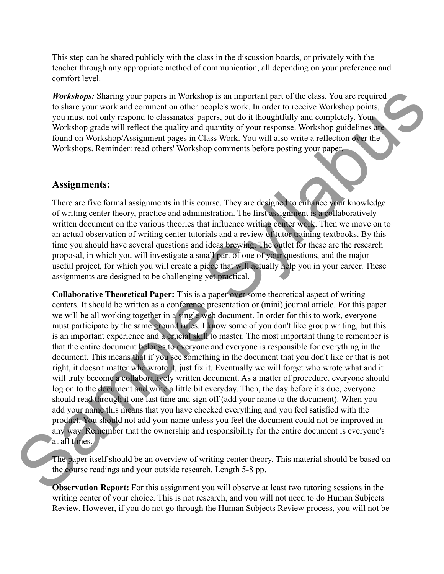This step can be shared publicly with the class in the discussion boards, or privately with the teacher through any appropriate method of communication, all depending on your preference and comfort level.

*Workshops:* Sharing your papers in Workshop is an important part of the class. You are required to share your work and comment on other people's work. In order to receive Workshop points, you must not only respond to classmates' papers, but do it thoughtfully and completely. Your Workshop grade will reflect the quality and quantity of your response. Workshop guidelines are found on Workshop/Assignment pages in Class Work. You will also write a reflection over the Workshops. Reminder: read others' Workshop comments before posting your paper.

## **Assignments:**

There are five formal assignments in this course. They are designed to enhance your knowledge of writing center theory, practice and administration. The first assignment is a collaborativelywritten document on the various theories that influence writing center work. Then we move on to an actual observation of writing center tutorials and a review of tutor training textbooks. By this time you should have several questions and ideas brewing. The outlet for these are the research proposal, in which you will investigate a small part of one of your questions, and the major useful project, for which you will create a piece that will actually help you in your career. These assignments are designed to be challenging yet practical. hop is an important part of the class. You are required<br>people's work. In order to receive Workshop points,<br>apers, but do it thoughtfully and completely. Your<br>quantity of your response. Workshop guidelines are<br>lass Work. Y

**Collaborative Theoretical Paper:** This is a paper over some theoretical aspect of writing centers. It should be written as a conference presentation or (mini) journal article. For this paper we will be all working together in a single web document. In order for this to work, everyone must participate by the same ground rules. I know some of you don't like group writing, but this is an important experience and a crucial skill to master. The most important thing to remember is that the entire document belongs to everyone and everyone is responsible for everything in the document. This means that if you see something in the document that you don't like or that is not right, it doesn't matter who wrote it, just fix it. Eventually we will forget who wrote what and it will truly become a collaboratively written document. As a matter of procedure, everyone should log on to the document and write a little bit everyday. Then, the day before it's due, everyone should read through it one last time and sign off (add your name to the document). When you add your name this means that you have checked everything and you feel satisfied with the product. You should not add your name unless you feel the document could not be improved in any way. Remember that the ownership and responsibility for the entire document is everyone's at all times. centers. It should be written as a conference presentation we will be all working together in a single web docummust participate by the same ground rules. I know som is an important experience and a crucial skill to master

The paper itself should be an overview of writing center theory. This material should be based on the course readings and your outside research. Length 5-8 pp.

**Observation Report:** For this assignment you will observe at least two tutoring sessions in the writing center of your choice. This is not research, and you will not need to do Human Subjects Review. However, if you do not go through the Human Subjects Review process, you will not be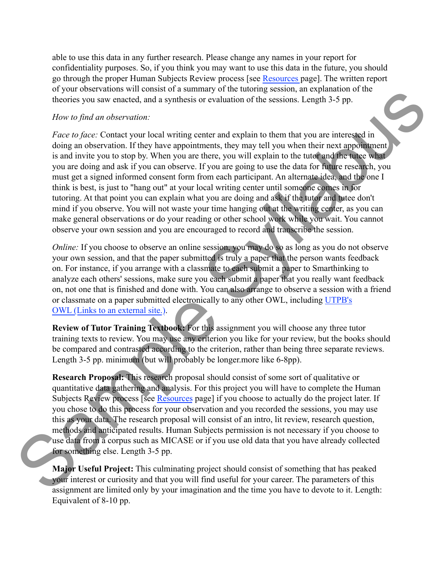able to use this data in any further research. Please change any names in your report for confidentiality purposes. So, if you think you may want to use this data in the future, you should go through the proper Human Subjects Review process [see [Resources p](https://utpb.instructure.com/courses/454/pages/writing-center-theory-and-practice-resources%22%20%5Co%20%22Writing%20Center%20Theory%20and%20Practice%20-%20Resources)age]. The written report of your observations will consist of a summary of the tutoring session, an explanation of the theories you saw enacted, and a synthesis or evaluation of the sessions. Length 3-5 pp.

#### *How to find an observation:*

*Face to face:* Contact your local writing center and explain to them that you are interested in doing an observation. If they have appointments, they may tell you when their next appointment is and invite you to stop by. When you are there, you will explain to the tutor and the tutee what you are doing and ask if you can observe. If you are going to use the data for future research, you must get a signed informed consent form from each participant. An alternate idea, and the one I think is best, is just to "hang out" at your local writing center until someone comes in for tutoring. At that point you can explain what you are doing and ask if the tutor and tutee don't mind if you observe. You will not waste your time hanging out at the writing center, as you can make general observations or do your reading or other school work while you wait. You cannot observe your own session and you are encouraged to record and transcribe the session. alay of the tutofing session, an explanation of the<br>or evaluation of the sessions. Length 3-5 pp.<br>there and explanation of the sessions. Length 3-5 pp.<br>there and explanation then that you are interested in<br>there, you will

*Online:* If you choose to observe an online session, you may do so as long as you do not observe your own session, and that the paper submitted is truly a paper that the person wants feedback on. For instance, if you arrange with a classmate to each submit a paper to Smarthinking to analyze each others' sessions, make sure you each submit a paper that you really want feedback on, not one that is finished and done with. You can also arrange to observe a session with a friend or classmate on a paper submitted electronically to any other OWL, including UTPB's OWL (Links to an external site.).

**Review of Tutor Training Textbook:** For this assignment you will choose any three tutor training texts to review. You may use any criterion you like for your review, but the books should be compared and contrasted according to the criterion, rather than being three separate reviews. Length 3-5 pp. minimum (but will probably be longer.more like 6-8pp).

**Research Proposal:** This research proposal should consist of some sort of qualitative or quantitative data gathering and analysis. For this project you will have to complete the Human Subjects Review process [see Resources page] if you choose to actually do the project later. If you chose to do this process for your observation and you recorded the sessions, you may use this as your data. The research proposal will consist of an intro, lit review, research question, methods and anticipated results. Human Subjects permission is not necessary if you choose to use data from a corpus such as MICASE or if you use old data that you have already collected for something else. Length 3-5 pp. or classmate on a [p](https://utpb.instructure.com/courses/454/pages/writing-center-theory-and-practice-resources%22%20%5Co%20%22Writing%20Center%20Theory%20and%20Practice%20-%20Resources)aper submitted electronically to any<br>
OWL (Links to an external site.).<br>
Review of Tutor Training Textbook: For this assignm<br>
training texts to review. You may use any criterion you<br>
be compared and cont

**Major Useful Project:** This culminating project should consist of something that has peaked your interest or curiosity and that you will find useful for your career. The parameters of this assignment are limited only by your imagination and the time you have to devote to it. Length: Equivalent of 8-10 pp.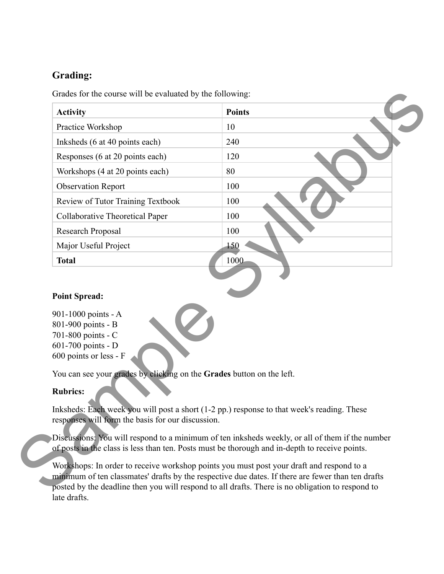# **Grading:**

| <b>Activity</b>                        | <b>Points</b> |
|----------------------------------------|---------------|
| Practice Workshop                      | 10            |
| Inksheds (6 at 40 points each)         | 240           |
| Responses (6 at 20 points each)        | 120           |
| Workshops (4 at 20 points each)        | 80            |
| <b>Observation Report</b>              | 100           |
| Review of Tutor Training Textbook      | 100           |
| <b>Collaborative Theoretical Paper</b> | 100           |
| Research Proposal                      | 100           |
| Major Useful Project                   | 150           |
| <b>Total</b>                           | 1000          |
|                                        |               |
|                                        |               |
| <b>Point Spread:</b>                   |               |

#### **Point Spread:**

| I VIIIt Spieau.                                                                                                                                                             |
|-----------------------------------------------------------------------------------------------------------------------------------------------------------------------------|
| 901-1000 points - A<br>801-900 points - B<br>701-800 points - C<br>601-700 points - D<br>600 points or less - F                                                             |
| You can see your grades by clicking on the Grades bu                                                                                                                        |
| <b>Rubrics:</b>                                                                                                                                                             |
| Inksheds: Each week you will post a short (1-2 pp.) res<br>responses will form the basis for our discussion.                                                                |
| Discussions: You will respond to a minimum of ten ink<br>of posts in the class is less than ten. Posts must be thor                                                         |
| Workshops: In order to receive workshop points you m<br>minimum of ten classmates' drafts by the respective du<br>posted by the deadline then you will respond to all drain |

You can see your grades by clicking on the **Grades** button on the left.

#### **Rubrics:**

Inksheds: Each week you will post a short (1-2 pp.) response to that week's reading. These responses will form the basis for our discussion.

Discussions: You will respond to a minimum of ten inksheds weekly, or all of them if the number of posts in the class is less than ten. Posts must be thorough and in-depth to receive points.

Workshops: In order to receive workshop points you must post your draft and respond to a minimum of ten classmates' drafts by the respective due dates. If there are fewer than ten drafts posted by the deadline then you will respond to all drafts. There is no obligation to respond to late drafts.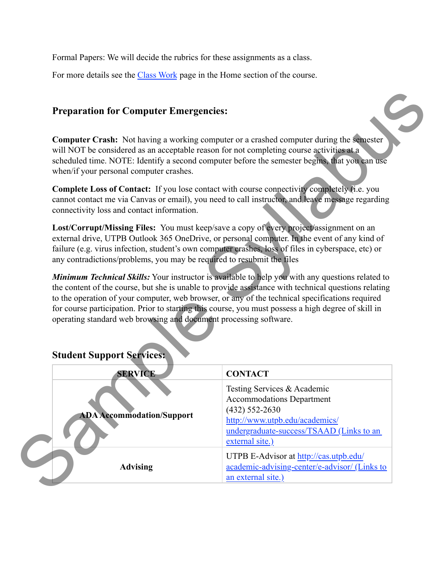Formal Papers: We will decide the rubrics for these assignments as a class.

For more details see the [Class Work](https://utpb.instructure.com/courses/454/pages/class-work%22%20%5Co%20%22Class%20Work) page in the Home section of the course.

## **Preparation for Computer Emergencies:**

**Computer Crash:** Not having a working computer or a crashed computer during the semester will NOT be considered as an acceptable reason for not completing course activities at a scheduled time. NOTE: Identify a second computer before the semester begins, that you can use when/if your personal computer crashes. example the computer during the semester<br>
syllabus computer or a crashed computer during the semester<br>
syllabus an use<br>
syllabus computer before the semester begins, that you can use<br>
under to call instructor, and leave me

Complete Loss of Contact: If you lose contact with course connectivity completely (i.e. you cannot contact me via Canvas or email), you need to call instructor, and leave message regarding connectivity loss and contact information.

**Lost/Corrupt/Missing Files:** You must keep/save a copy of every project/assignment on an external drive, UTPB Outlook 365 OneDrive, or personal computer. In the event of any kind of failure (e.g. virus infection, student's own computer crashes, loss of files in cyberspace, etc) or any contradictions/problems, you may be required to resubmit the files

*Minimum Technical Skills:* Your instructor is available to help you with any questions related to the content of the course, but she is unable to provide assistance with technical questions relating to the operation of your computer, web browser, or any of the technical specifications required for course participation. Prior to starting this course, you must possess a high degree of skill in operating standard web browsing and document processing software.

| operating standard web browsing and document processing software. | to the operation of your computer, web browser, or any of the technical specifications required<br>for course participation. Prior to starting this course, you must possess a high degree of skill in |
|-------------------------------------------------------------------|--------------------------------------------------------------------------------------------------------------------------------------------------------------------------------------------------------|
| <b>Student Support Services:</b>                                  |                                                                                                                                                                                                        |
| <b>SERVICE</b>                                                    | <b>CONTACT</b>                                                                                                                                                                                         |
| <b>ADA Accommodation/Support</b>                                  | Testing Services & Academic<br><b>Accommodations Department</b><br>$(432)$ 552-2630<br>http://www.utpb.edu/academics/<br>undergraduate-success/TSAAD (Links to an<br>external site.)                   |
| <b>Advising</b>                                                   | UTPB E-Advisor at http://cas.utpb.edu/<br>academic-advising-center/e-advisor/ (Links to<br>an external site.)                                                                                          |

## **Student Support Services:**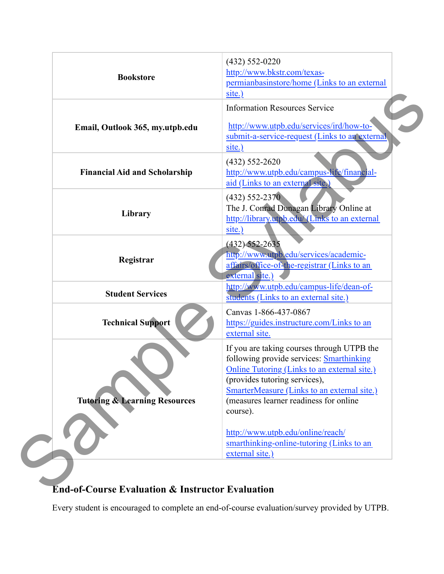|                                          | $(432) 552 - 0220$<br>http://www.bkstr.com/texas-                                                         |
|------------------------------------------|-----------------------------------------------------------------------------------------------------------|
| <b>Bookstore</b>                         | permianbasinstore/home (Links to an external<br>site.)                                                    |
|                                          | <b>Information Resources Service</b>                                                                      |
| Email, Outlook 365, my.utpb.edu          | http://www.utpb.edu/services/ird/how-to-<br>submit-a-service-request (Links to an external<br>site.)      |
| <b>Financial Aid and Scholarship</b>     | $(432) 552 - 2620$                                                                                        |
|                                          | http://www.utpb.edu/campus-life/financial-<br>aid (Links to an external site.)                            |
| Library                                  | $(432) 552 - 2370$                                                                                        |
|                                          | The J. Conrad Dunagan Library Online at<br>http://library.utpb.edu/(Links to an external<br>site.)        |
|                                          | $(432)$ 552-2635                                                                                          |
| Registrar                                | http://www.utpb.edu/services/academic-<br>affairs/office-of-the-registrar (Links to an<br>external site.) |
| <b>Student Services</b>                  | http://www.utpb.edu/campus-life/dean-of-<br>students (Links to an external site.)                         |
|                                          | Canvas 1-866-437-0867                                                                                     |
| <b>Technical Support</b>                 | https://guides.instructure.com/Links to an<br>external site.                                              |
|                                          | If you are taking courses through UTPB the                                                                |
|                                          | following provide services: <b>Smarthinking</b><br><b>Online Tutoring (Links to an external site.)</b>    |
|                                          | (provides tutoring services),                                                                             |
|                                          | SmarterMeasure (Links to an external site.)                                                               |
| <b>Tutoring &amp; Learning Resources</b> | (measures learner readiness for online                                                                    |
|                                          | course).                                                                                                  |
|                                          | http://www.utpb.edu/online/reach/                                                                         |
|                                          | smarthinking-online-tutoring (Links to an                                                                 |
|                                          | external site.)                                                                                           |

# **End-of-Course Evaluation & Instructor Evaluation**

Every student is encouraged to complete an end-of-course evaluation/survey provided by UTPB.